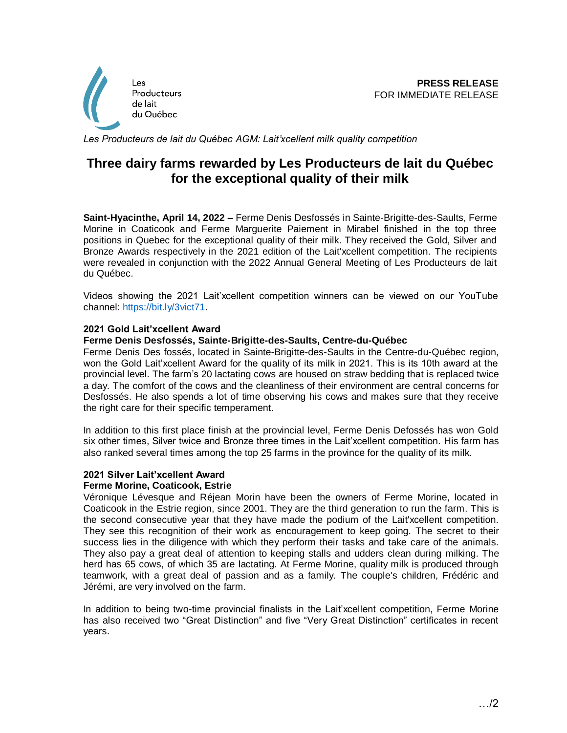

Les Producteurs de lait du Québec AGM: Lait'xcellent milk quality competition

# **Three dairy farms rewarded by Les Producteurs de lait du Québec for the exceptional quality of their milk**

**Saint-Hyacinthe, April 14, 2022 –** Ferme Denis Desfossés in Sainte-Brigitte-des-Saults, Ferme Morine in Coaticook and Ferme Marguerite Paiement in Mirabel finished in the top three positions in Quebec for the exceptional quality of their milk. They received the Gold, Silver and Bronze Awards respectively in the 2021 edition of the Lait'xcellent competition. The recipients were revealed in conjunction with the 2022 Annual General Meeting of Les Producteurs de lait du Québec.

Videos showing the 2021 Lait'xcellent competition winners can be viewed on our YouTube channel: [https://bit.ly/3vict71.](https://bit.ly/3vict71)

## **2021 Gold Lait'xcellent Award**

## **Ferme Denis Desfossés, Sainte-Brigitte-des-Saults, Centre-du-Québec**

Ferme Denis Des fossés, located in Sainte-Brigitte-des-Saults in the Centre-du-Québec region, won the Gold Lait'xcellent Award for the quality of its milk in 2021. This is its 10th award at the provincial level. The farm's 20 lactating cows are housed on straw bedding that is replaced twice a day. The comfort of the cows and the cleanliness of their environment are central concerns for Desfossés. He also spends a lot of time observing his cows and makes sure that they receive the right care for their specific temperament.

In addition to this first place finish at the provincial level, Ferme Denis Defossés has won Gold six other times, Silver twice and Bronze three times in the Lait'xcellent competition. His farm has also ranked several times among the top 25 farms in the province for the quality of its milk.

#### **2021 Silver Lait'xcellent Award Ferme Morine, Coaticook, Estrie**

Véronique Lévesque and Réjean Morin have been the owners of Ferme Morine, located in Coaticook in the Estrie region, since 2001. They are the third generation to run the farm. This is the second consecutive year that they have made the podium of the Lait'xcellent competition. They see this recognition of their work as encouragement to keep going. The secret to their success lies in the diligence with which they perform their tasks and take care of the animals. They also pay a great deal of attention to keeping stalls and udders clean during milking. The herd has 65 cows, of which 35 are lactating. At Ferme Morine, quality milk is produced through teamwork, with a great deal of passion and as a family. The couple's children, Frédéric and Jérémi, are very involved on the farm.

In addition to being two-time provincial finalists in the Lait'xcellent competition, Ferme Morine has also received two "Great Distinction" and five "Very Great Distinction" certificates in recent years.